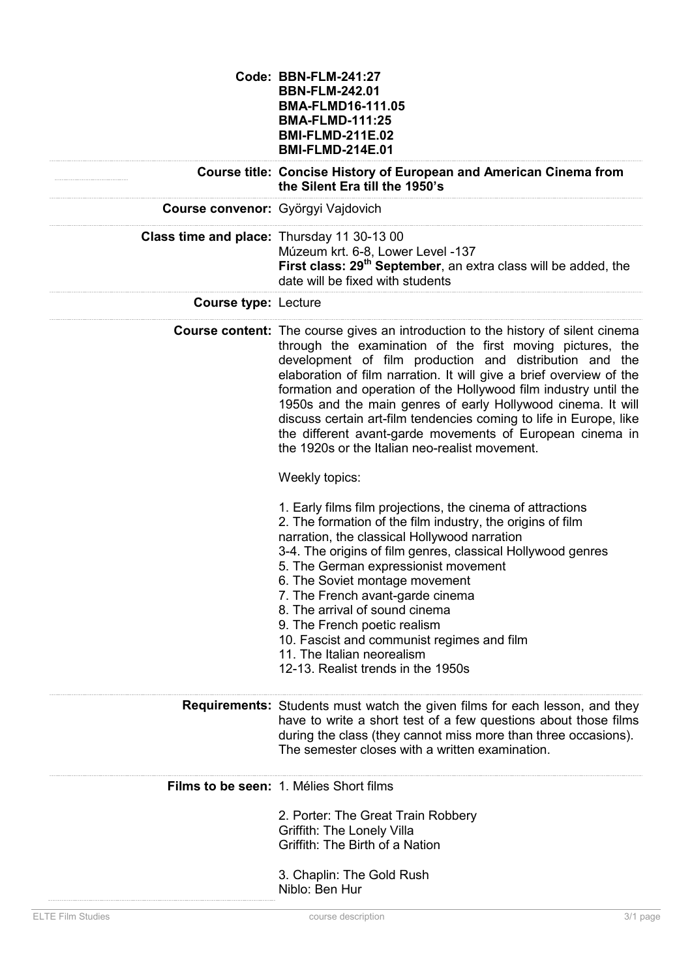|                                            | <b>Code: BBN-FLM-241:27</b><br><b>BBN-FLM-242.01</b><br><b>BMA-FLMD16-111.05</b><br><b>BMA-FLMD-111:25</b><br><b>BMI-FLMD-211E.02</b><br><b>BMI-FLMD-214E.01</b>                                                                                                                                                                                                                                                                                                                                                                                                                                                |
|--------------------------------------------|-----------------------------------------------------------------------------------------------------------------------------------------------------------------------------------------------------------------------------------------------------------------------------------------------------------------------------------------------------------------------------------------------------------------------------------------------------------------------------------------------------------------------------------------------------------------------------------------------------------------|
|                                            | Course title: Concise History of European and American Cinema from<br>the Silent Era till the 1950's                                                                                                                                                                                                                                                                                                                                                                                                                                                                                                            |
| Course convenor: Györgyi Vajdovich         |                                                                                                                                                                                                                                                                                                                                                                                                                                                                                                                                                                                                                 |
| Class time and place: Thursday 11 30-13 00 | Múzeum krt. 6-8, Lower Level -137<br>First class: 29 <sup>th</sup> September, an extra class will be added, the<br>date will be fixed with students                                                                                                                                                                                                                                                                                                                                                                                                                                                             |
| <b>Course type: Lecture</b>                |                                                                                                                                                                                                                                                                                                                                                                                                                                                                                                                                                                                                                 |
|                                            | <b>Course content:</b> The course gives an introduction to the history of silent cinema<br>through the examination of the first moving pictures, the<br>development of film production and distribution and the<br>elaboration of film narration. It will give a brief overview of the<br>formation and operation of the Hollywood film industry until the<br>1950s and the main genres of early Hollywood cinema. It will<br>discuss certain art-film tendencies coming to life in Europe, like<br>the different avant-garde movements of European cinema in<br>the 1920s or the Italian neo-realist movement. |
|                                            | Weekly topics:                                                                                                                                                                                                                                                                                                                                                                                                                                                                                                                                                                                                  |
|                                            | 1. Early films film projections, the cinema of attractions<br>2. The formation of the film industry, the origins of film<br>narration, the classical Hollywood narration<br>3-4. The origins of film genres, classical Hollywood genres<br>5. The German expressionist movement<br>6. The Soviet montage movement<br>7. The French avant-garde cinema<br>8. The arrival of sound cinema<br>9. The French poetic realism<br>10. Fascist and communist regimes and film<br>11. The Italian neorealism<br>12-13. Realist trends in the 1950s                                                                       |
|                                            | <b>Requirements:</b> Students must watch the given films for each lesson, and they<br>have to write a short test of a few questions about those films<br>during the class (they cannot miss more than three occasions).<br>The semester closes with a written examination.                                                                                                                                                                                                                                                                                                                                      |
|                                            | Films to be seen: 1. Mélies Short films                                                                                                                                                                                                                                                                                                                                                                                                                                                                                                                                                                         |
|                                            | 2. Porter: The Great Train Robbery<br>Griffith: The Lonely Villa<br>Griffith: The Birth of a Nation<br>3. Chaplin: The Gold Rush<br>Niblo: Ben Hur                                                                                                                                                                                                                                                                                                                                                                                                                                                              |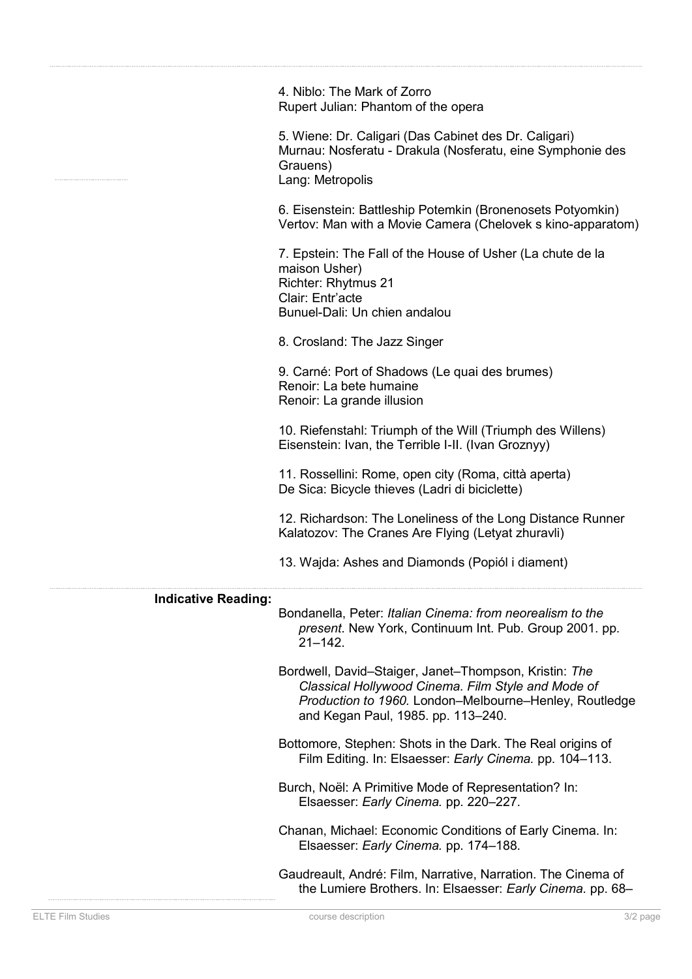4. Niblo: The Mark of Zorro Rupert Julian: Phantom of the opera

5. Wiene: Dr. Caligari (Das Cabinet des Dr. Caligari) Murnau: Nosferatu - Drakula (Nosferatu, eine Symphonie des Grauens) Lang: Metropolis

6. Eisenstein: Battleship Potemkin (Bronenosets Potyomkin) Vertov: Man with a Movie Camera (Chelovek s kino-apparatom)

7. Epstein: The Fall of the House of Usher (La chute de la maison Usher) Richter: Rhytmus 21 Clair: Entr'acte Bunuel-Dali: Un chien andalou

8. Crosland: The Jazz Singer

9. Carné: Port of Shadows (Le quai des brumes) Renoir: La bete humaine Renoir: La grande illusion

10. Riefenstahl: Triumph of the Will (Triumph des Willens) Eisenstein: Ivan, the Terrible I-II. (Ivan Groznyy)

11. Rossellini: Rome, open city (Roma, città aperta) De Sica: Bicycle thieves (Ladri di biciclette)

12. Richardson: The Loneliness of the Long Distance Runner Kalatozov: The Cranes Are Flying (Letyat zhuravli)

13. Wajda: Ashes and Diamonds (Popiól i diament)

## **Indicative Reading:**

Bondanella, Peter: *Italian Cinema: from neorealism to the present*. New York, Continuum Int. Pub. Group 2001. pp. 21–142.

Bordwell, David–Staiger, Janet–Thompson, Kristin: *The Classical Hollywood Cinema. Film Style and Mode of Production to 1960.* London–Melbourne–Henley, Routledge and Kegan Paul, 1985. pp. 113–240.

Bottomore, Stephen: Shots in the Dark. The Real origins of Film Editing. In: Elsaesser: *Early Cinema.* pp. 104–113.

Burch, Noël: A Primitive Mode of Representation? In: Elsaesser: *Early Cinema.* pp. 220–227.

Chanan, Michael: Economic Conditions of Early Cinema. In: Elsaesser: *Early Cinema.* pp. 174–188.

Gaudreault, André: Film, Narrative, Narration. The Cinema of the Lumiere Brothers. In: Elsaesser: *Early Cinema.* pp. 68–